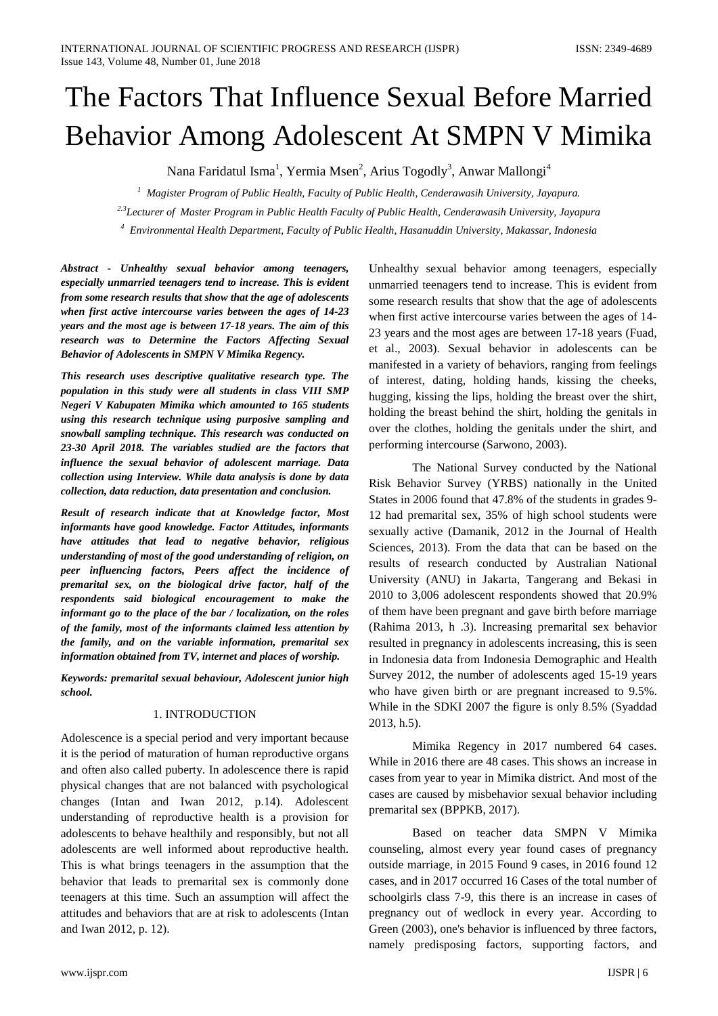# The Factors That Influence Sexual Before Married Behavior Among Adolescent At SMPN V Mimika

Nana Faridatul Isma<sup>1</sup>, Yermia Msen<sup>2</sup>, Arius Togodly<sup>3</sup>, Anwar Mallongi<sup>4</sup>

*1 Magister Program of Public Health, Faculty of Public Health, Cenderawasih University, Jayapura. 2.3Lecturer of Master Program in Public Health Faculty of Public Health, Cenderawasih University, Jayapura*

*4 Environmental Health Department, Faculty of Public Health, Hasanuddin University, Makassar, Indonesia*

*Abstract - Unhealthy sexual behavior among teenagers, especially unmarried teenagers tend to increase. This is evident from some research results that show that the age of adolescents when first active intercourse varies between the ages of 14-23 years and the most age is between 17-18 years. The aim of this research was to Determine the Factors Affecting Sexual Behavior of Adolescents in SMPN V Mimika Regency.*

*This research uses descriptive qualitative research type. The population in this study were all students in class VIII SMP Negeri V Kabupaten Mimika which amounted to 165 students using this research technique using purposive sampling and snowball sampling technique. This research was conducted on 23-30 April 2018. The variables studied are the factors that influence the sexual behavior of adolescent marriage. Data collection using Interview. While data analysis is done by data collection, data reduction, data presentation and conclusion.*

*Result of research indicate that at Knowledge factor, Most informants have good knowledge. Factor Attitudes, informants have attitudes that lead to negative behavior, religious understanding of most of the good understanding of religion, on peer influencing factors, Peers affect the incidence of premarital sex, on the biological drive factor, half of the respondents said biological encouragement to make the informant go to the place of the bar / localization, on the roles of the family, most of the informants claimed less attention by the family, and on the variable information, premarital sex information obtained from TV, internet and places of worship.*

*Keywords: premarital sexual behaviour, Adolescent junior high school.*

# 1. INTRODUCTION

Adolescence is a special period and very important because it is the period of maturation of human reproductive organs and often also called puberty. In adolescence there is rapid physical changes that are not balanced with psychological changes (Intan and Iwan 2012, p.14). Adolescent understanding of reproductive health is a provision for adolescents to behave healthily and responsibly, but not all adolescents are well informed about reproductive health. This is what brings teenagers in the assumption that the behavior that leads to premarital sex is commonly done teenagers at this time. Such an assumption will affect the attitudes and behaviors that are at risk to adolescents (Intan and Iwan 2012, p. 12).

Unhealthy sexual behavior among teenagers, especially unmarried teenagers tend to increase. This is evident from some research results that show that the age of adolescents when first active intercourse varies between the ages of 14- 23 years and the most ages are between 17-18 years (Fuad, et al., 2003). Sexual behavior in adolescents can be manifested in a variety of behaviors, ranging from feelings of interest, dating, holding hands, kissing the cheeks, hugging, kissing the lips, holding the breast over the shirt, holding the breast behind the shirt, holding the genitals in over the clothes, holding the genitals under the shirt, and performing intercourse (Sarwono, 2003).

The National Survey conducted by the National Risk Behavior Survey (YRBS) nationally in the United States in 2006 found that 47.8% of the students in grades 9- 12 had premarital sex, 35% of high school students were sexually active (Damanik, 2012 in the Journal of Health Sciences, 2013). From the data that can be based on the results of research conducted by Australian National University (ANU) in Jakarta, Tangerang and Bekasi in 2010 to 3,006 adolescent respondents showed that 20.9% of them have been pregnant and gave birth before marriage (Rahima 2013, h .3). Increasing premarital sex behavior resulted in pregnancy in adolescents increasing, this is seen in Indonesia data from Indonesia Demographic and Health Survey 2012, the number of adolescents aged 15-19 years who have given birth or are pregnant increased to 9.5%. While in the SDKI 2007 the figure is only 8.5% (Syaddad 2013, h.5).

Mimika Regency in 2017 numbered 64 cases. While in 2016 there are 48 cases. This shows an increase in cases from year to year in Mimika district. And most of the cases are caused by misbehavior sexual behavior including premarital sex (BPPKB, 2017).

Based on teacher data SMPN V Mimika counseling, almost every year found cases of pregnancy outside marriage, in 2015 Found 9 cases, in 2016 found 12 cases, and in 2017 occurred 16 Cases of the total number of schoolgirls class 7-9, this there is an increase in cases of pregnancy out of wedlock in every year. According to Green (2003), one's behavior is influenced by three factors, namely predisposing factors, supporting factors, and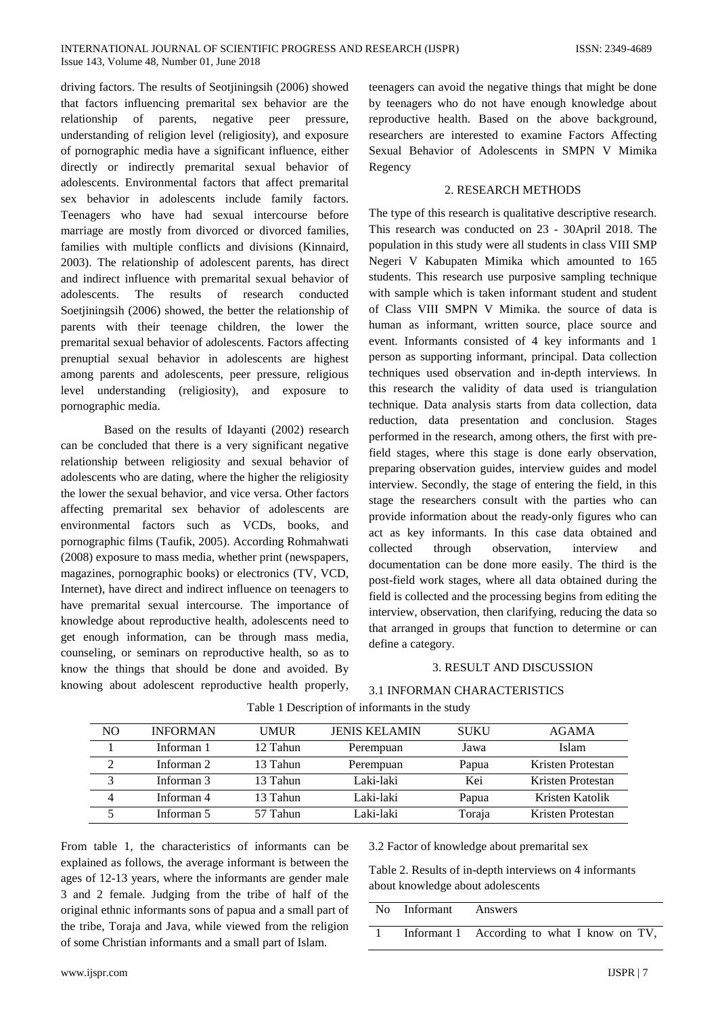driving factors. The results of Seotjiningsih (2006) showed that factors influencing premarital sex behavior are the relationship of parents, negative peer pressure, understanding of religion level (religiosity), and exposure of pornographic media have a significant influence, either directly or indirectly premarital sexual behavior of adolescents. Environmental factors that affect premarital sex behavior in adolescents include family factors. Teenagers who have had sexual intercourse before marriage are mostly from divorced or divorced families, families with multiple conflicts and divisions (Kinnaird, 2003). The relationship of adolescent parents, has direct and indirect influence with premarital sexual behavior of adolescents. The results of research conducted Soetjiningsih (2006) showed, the better the relationship of parents with their teenage children, the lower the premarital sexual behavior of adolescents. Factors affecting prenuptial sexual behavior in adolescents are highest among parents and adolescents, peer pressure, religious level understanding (religiosity), and exposure to pornographic media.

Based on the results of Idayanti (2002) research can be concluded that there is a very significant negative relationship between religiosity and sexual behavior of adolescents who are dating, where the higher the religiosity the lower the sexual behavior, and vice versa. Other factors affecting premarital sex behavior of adolescents are environmental factors such as VCDs, books, and pornographic films (Taufik, 2005). According Rohmahwati (2008) exposure to mass media, whether print (newspapers, magazines, pornographic books) or electronics (TV, VCD, Internet), have direct and indirect influence on teenagers to have premarital sexual intercourse. The importance of knowledge about reproductive health, adolescents need to get enough information, can be through mass media, counseling, or seminars on reproductive health, so as to know the things that should be done and avoided. By knowing about adolescent reproductive health properly,

teenagers can avoid the negative things that might be done by teenagers who do not have enough knowledge about reproductive health. Based on the above background, researchers are interested to examine Factors Affecting Sexual Behavior of Adolescents in SMPN V Mimika Regency

#### 2. RESEARCH METHODS

The type of this research is qualitative descriptive research. This research was conducted on 23 - 30April 2018. The population in this study were all students in class VIII SMP Negeri V Kabupaten Mimika which amounted to 165 students. This research use purposive sampling technique with sample which is taken informant student and student of Class VIII SMPN V Mimika. the source of data is human as informant, written source, place source and event. Informants consisted of 4 key informants and 1 person as supporting informant, principal. Data collection techniques used observation and in-depth interviews. In this research the validity of data used is triangulation technique. Data analysis starts from data collection, data reduction, data presentation and conclusion. Stages performed in the research, among others, the first with prefield stages, where this stage is done early observation, preparing observation guides, interview guides and model interview. Secondly, the stage of entering the field, in this stage the researchers consult with the parties who can provide information about the ready-only figures who can act as key informants. In this case data obtained and collected through observation, interview and documentation can be done more easily. The third is the post-field work stages, where all data obtained during the field is collected and the processing begins from editing the interview, observation, then clarifying, reducing the data so that arranged in groups that function to determine or can define a category.

## 3. RESULT AND DISCUSSION

### 3.1 INFORMAN CHARACTERISTICS

| NO.                     | <b>INFORMAN</b> | <b>UMUR</b> | <b>JENIS KELAMIN</b> | <b>SUKU</b> | AGAMA             |
|-------------------------|-----------------|-------------|----------------------|-------------|-------------------|
|                         | Informan 1      | 12 Tahun    | Perempuan            | Jawa        | Islam             |
|                         | Informan 2      | 13 Tahun    | Perempuan            | Papua       | Kristen Protestan |
| $\mathbf{\overline{3}}$ | Informan 3      | 13 Tahun    | Laki-laki            | Kei         | Kristen Protestan |
| $\overline{4}$          | Informan 4      | 13 Tahun    | Laki-laki            | Papua       | Kristen Katolik   |
|                         | Informan 5      | 57 Tahun    | Laki-laki            | Toraja      | Kristen Protestan |

Table 1 Description of informants in the study

From table 1, the characteristics of informants can be explained as follows, the average informant is between the ages of 12-13 years, where the informants are gender male 3 and 2 female. Judging from the tribe of half of the original ethnic informants sons of papua and a small part of the tribe, Toraja and Java, while viewed from the religion of some Christian informants and a small part of Islam.

3.2 Factor of knowledge about premarital sex

Table 2. Results of in-depth interviews on 4 informants about knowledge about adolescents

|  | No Informant Answers |                                             |
|--|----------------------|---------------------------------------------|
|  |                      | Informant 1 According to what I know on TV, |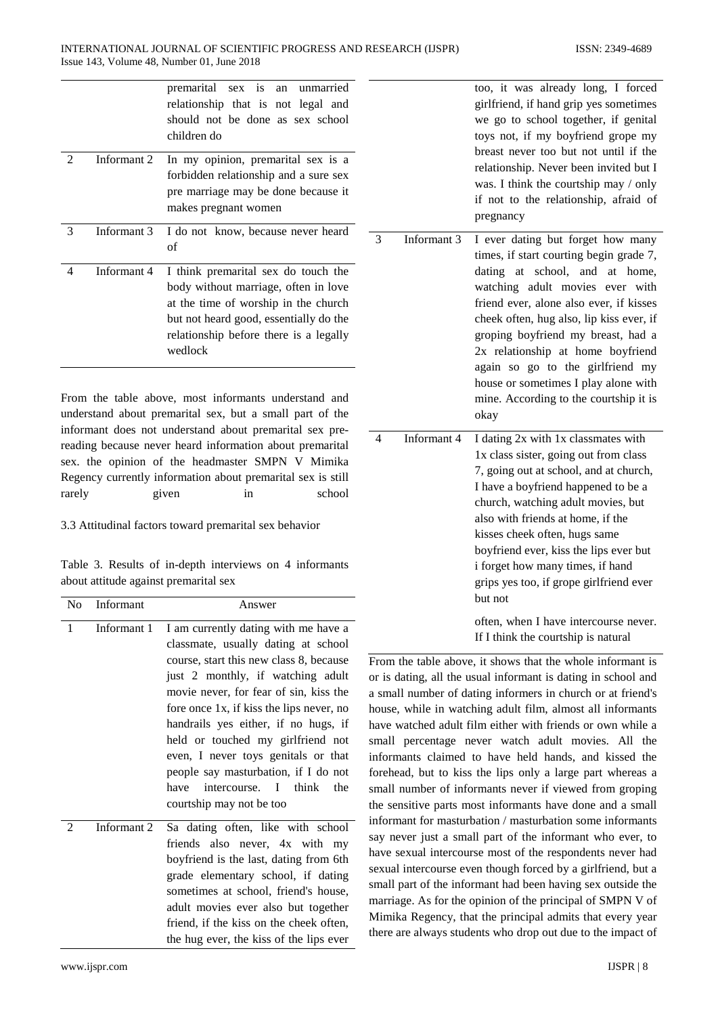|                             |             | premarital sex is an unmarried<br>relationship that is not legal and<br>should not be done as sex school<br>children do                                                                                            |   |        |
|-----------------------------|-------------|--------------------------------------------------------------------------------------------------------------------------------------------------------------------------------------------------------------------|---|--------|
| $\mathcal{D}_{\mathcal{L}}$ | Informant 2 | In my opinion, premarital sex is a<br>forbidden relationship and a sure sex<br>pre marriage may be done because it<br>makes pregnant women                                                                         |   |        |
| 3                           | Informant 3 | I do not know, because never heard<br>of                                                                                                                                                                           | 3 | Inform |
| 4                           | Informant 4 | I think premarital sex do touch the<br>body without marriage, often in love<br>at the time of worship in the church<br>but not heard good, essentially do the<br>relationship before there is a legally<br>wedlock |   |        |

From the table above, most informants understand and understand about premarital sex, but a small part of the informant does not understand about premarital sex prereading because never heard information about premarital sex. the opinion of the headmaster SMPN V Mimika Regency currently information about premarital sex is still rarely given in school

3.3 Attitudinal factors toward premarital sex behavior

Table 3. Results of in-depth interviews on 4 informants about attitude against premarital sex

| No | Informant   | Answer                                                                                                                                                                                                                                                                                                                                                                                                                                                                           |
|----|-------------|----------------------------------------------------------------------------------------------------------------------------------------------------------------------------------------------------------------------------------------------------------------------------------------------------------------------------------------------------------------------------------------------------------------------------------------------------------------------------------|
| 1  | Informant 1 | I am currently dating with me have a<br>classmate, usually dating at school<br>course, start this new class 8, because<br>just 2 monthly, if watching adult<br>movie never, for fear of sin, kiss the<br>fore once 1x, if kiss the lips never, no<br>handrails yes either, if no hugs, if<br>held or touched my girlfriend not<br>even, I never toys genitals or that<br>people say masturbation, if I do not<br>intercourse. I think<br>the<br>have<br>courtship may not be too |
| 2  | Informant 2 | Sa dating often, like with school<br>friends also never, 4x with my<br>boyfriend is the last, dating from 6th<br>grade elementary school, if dating<br>sometimes at school, friend's house,<br>adult movies ever also but together<br>friend, if the kiss on the cheek often,<br>the hug ever, the kiss of the lips ever                                                                                                                                                         |

too, it was already long, I forced girlfriend, if hand grip yes sometimes we go to school together, if genital toys not, if my boyfriend grope my breast never too but not until if the relationship. Never been invited but I was. I think the courtship may / only if not to the relationship, afraid of pregnancy ant 3 I ever dating but forget how many times, if start courting begin grade 7, dating at school, and at home, watching adult movies ever with

> friend ever, alone also ever, if kisses cheek often, hug also, lip kiss ever, if groping boyfriend my breast, had a 2x relationship at home boyfriend again so go to the girlfriend my house or sometimes I play alone with mine. According to the courtship it is

|   |             | okay                                    |
|---|-------------|-----------------------------------------|
| 4 | Informant 4 | I dating 2x with 1x classmates with     |
|   |             | 1x class sister, going out from class   |
|   |             | 7, going out at school, and at church,  |
|   |             | I have a boyfriend happened to be a     |
|   |             | church, watching adult movies, but      |
|   |             | also with friends at home, if the       |
|   |             | kisses cheek often, hugs same           |
|   |             | boyfriend ever, kiss the lips ever but  |
|   |             | i forget how many times, if hand        |
|   |             | grips yes too, if grope girlfriend ever |
|   |             | but not                                 |
|   |             | often, when I have intercourse never.   |

If I think the courtship is natural

From the table above, it shows that the whole informant is or is dating, all the usual informant is dating in school and a small number of dating informers in church or at friend's house, while in watching adult film, almost all informants have watched adult film either with friends or own while a small percentage never watch adult movies. All the informants claimed to have held hands, and kissed the forehead, but to kiss the lips only a large part whereas a small number of informants never if viewed from groping the sensitive parts most informants have done and a small informant for masturbation / masturbation some informants say never just a small part of the informant who ever, to have sexual intercourse most of the respondents never had sexual intercourse even though forced by a girlfriend, but a small part of the informant had been having sex outside the marriage. As for the opinion of the principal of SMPN V of Mimika Regency, that the principal admits that every year there are always students who drop out due to the impact of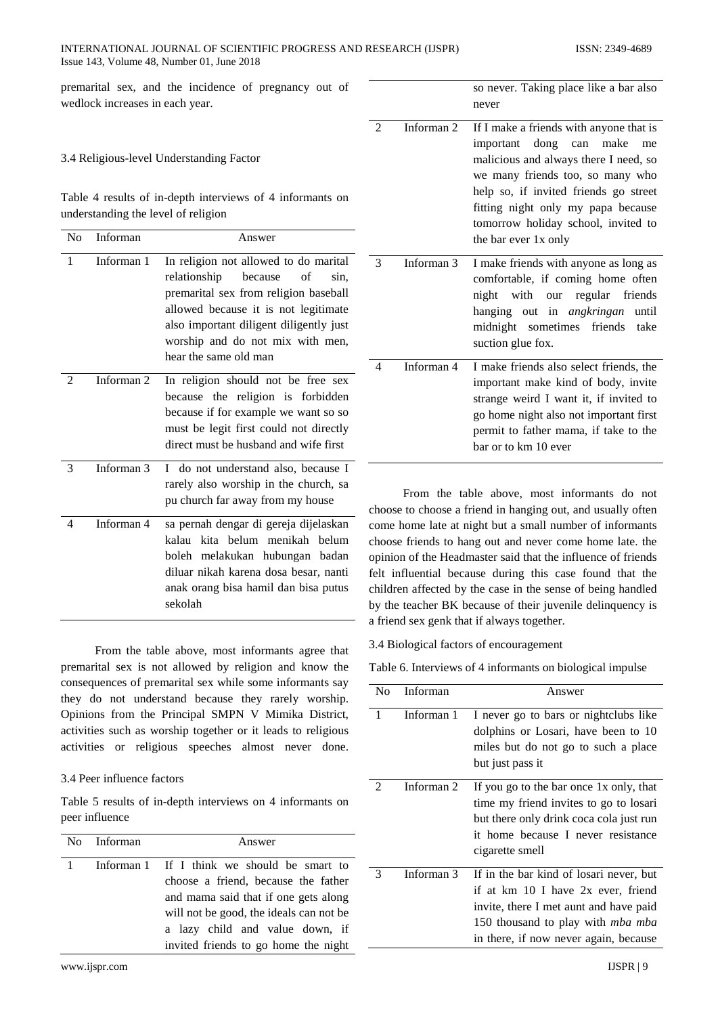## INTERNATIONAL JOURNAL OF SCIENTIFIC PROGRESS AND RESEARCH (IJSPR) ISSN: 2349-4689 Issue 143, Volume 48, Number 01, June 2018

premarital sex, and the incidence of pregnancy out of wedlock increases in each year.

3.4 Religious-level Understanding Factor

Table 4 results of in-depth interviews of 4 informants on understanding the level of religion

| N <sub>0</sub> | Informan   | Answer                                                                                                                                                                                                                                                                  |
|----------------|------------|-------------------------------------------------------------------------------------------------------------------------------------------------------------------------------------------------------------------------------------------------------------------------|
| 1              | Informan 1 | In religion not allowed to do marital<br>relationship<br>of<br>because<br>sin.<br>premarital sex from religion baseball<br>allowed because it is not legitimate<br>also important diligent diligently just<br>worship and do not mix with men,<br>hear the same old man |
| 2              | Informan 2 | In religion should not be free sex<br>because the religion is forbidden<br>because if for example we want so so<br>must be legit first could not directly<br>direct must be husband and wife first                                                                      |
| 3              | Informan 3 | I do not understand also, because I<br>rarely also worship in the church, sa<br>pu church far away from my house<br>cŀ                                                                                                                                                  |
| 4              | Informan 4 | sa pernah dengar di gereja dijelaskan<br>cc<br>kalau kita belum menikah belum<br>cŀ<br>boleh melakukan hubungan badan<br>op<br>diluar nikah karena dosa besar, nanti<br>fe<br>anak orang bisa hamil dan bisa putus<br>cŀ<br>sekolah<br>by                               |

From the table above, most informants agree that premarital sex is not allowed by religion and know the consequences of premarital sex while some informants say they do not understand because they rarely worship. Opinions from the Principal SMPN V Mimika District, activities such as worship together or it leads to religious activities or religious speeches almost never done.

### 3.4 Peer influence factors

Table 5 results of in-depth interviews on 4 informants on peer influence

| No Informan | Answer                                      |  |  |
|-------------|---------------------------------------------|--|--|
|             | Informan 1 If I think we should be smart to |  |  |
|             | choose a friend, because the father         |  |  |
|             | and mama said that if one gets along        |  |  |
|             | will not be good, the ideals can not be     |  |  |
|             | a lazy child and value down, if             |  |  |
|             | invited friends to go home the night        |  |  |

so never. Taking place like a bar also never

| 2 | Informan 2 | If I make a friends with anyone that is<br>important dong can make<br>me<br>malicious and always there I need, so<br>we many friends too, so many who<br>help so, if invited friends go street<br>fitting night only my papa because<br>tomorrow holiday school, invited to<br>the bar ever 1x only |
|---|------------|-----------------------------------------------------------------------------------------------------------------------------------------------------------------------------------------------------------------------------------------------------------------------------------------------------|
| 3 | Informan 3 | I make friends with anyone as long as<br>comfortable, if coming home often<br>night with our regular friends<br>hanging out in <i>angkringan</i><br>until<br>midnight sometimes friends take<br>suction glue fox.                                                                                   |
| 4 | Informan 4 | I make friends also select friends, the<br>important make kind of body, invite<br>strange weird I want it, if invited to<br>go home night also not important first<br>permit to father mama, if take to the<br>bar or to km 10 ever                                                                 |

From the table above, most informants do not noose to choose a friend in hanging out, and usually often ome home late at night but a small number of informants hoose friends to hang out and never come home late, the opinion of the Headmaster said that the influence of friends felt influential because during this case found that the nildren affected by the case in the sense of being handled by the teacher BK because of their juvenile delinquency is a friend sex genk that if always together.

3.4 Biological factors of encouragement

Table 6. Interviews of 4 informants on biological impulse

| No | Informan   | Answer                                                                                                                                                                                                       |
|----|------------|--------------------------------------------------------------------------------------------------------------------------------------------------------------------------------------------------------------|
| 1  | Informan 1 | I never go to bars or nightclubs like<br>dolphins or Losari, have been to 10<br>miles but do not go to such a place<br>but just pass it                                                                      |
| 2  | Informan 2 | If you go to the bar once 1x only, that<br>time my friend invites to go to losari<br>but there only drink coca cola just run<br>it home because I never resistance<br>cigarette smell                        |
| 3  | Informan 3 | If in the bar kind of losari never, but<br>if at km 10 I have 2x ever, friend<br>invite, there I met aunt and have paid<br>150 thousand to play with <i>mba mba</i><br>in there, if now never again, because |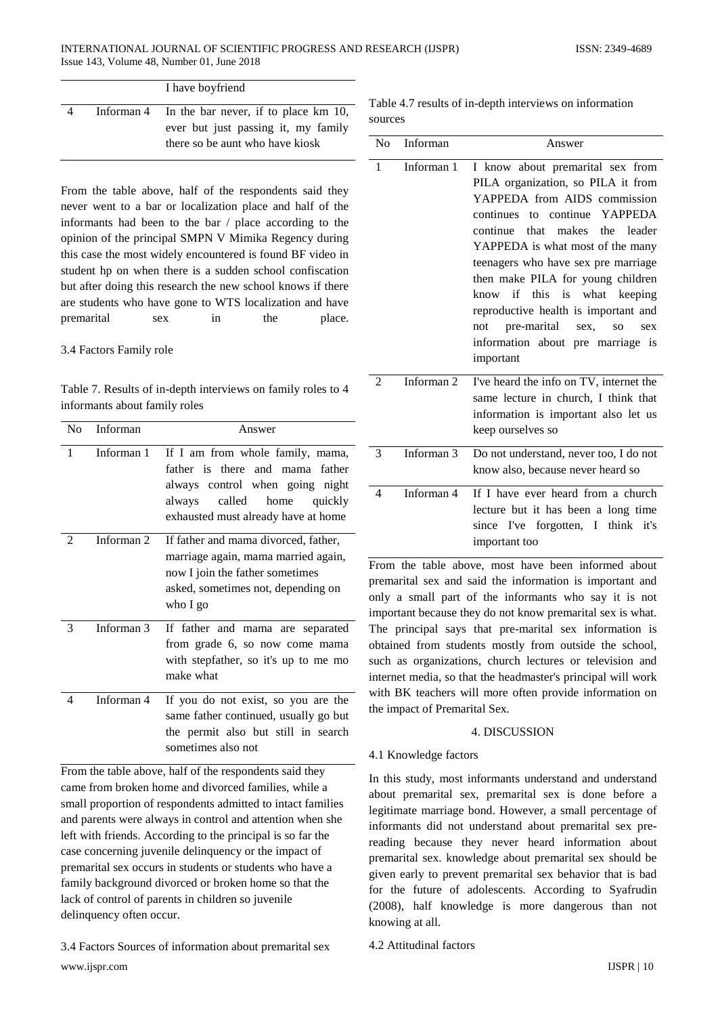|   | I have boyfriend                                                                                                             |
|---|------------------------------------------------------------------------------------------------------------------------------|
| 4 | Informan 4 In the bar never, if to place $km 10$ ,<br>ever but just passing it, my family<br>there so be aunt who have kiosk |

From the table above, half of the respondents said they never went to a bar or localization place and half of the informants had been to the bar / place according to the opinion of the principal SMPN V Mimika Regency during this case the most widely encountered is found BF video in student hp on when there is a sudden school confiscation but after doing this research the new school knows if there are students who have gone to WTS localization and have premarital sex in the place.

### 3.4 Factors Family role

Table 7. Results of in-depth interviews on family roles to 4 informants about family roles

| N <sub>0</sub> | Informan              | Answer                                                                                                                                                                            |
|----------------|-----------------------|-----------------------------------------------------------------------------------------------------------------------------------------------------------------------------------|
| 1              | Informan 1            | If I am from whole family, mama,<br>father is there and mama father<br>always control when going night<br>called home<br>always<br>quickly<br>exhausted must already have at home |
| $\mathfrak{D}$ | Informan <sub>2</sub> | If father and mama divorced, father,<br>marriage again, mama married again,<br>now I join the father sometimes<br>asked, sometimes not, depending on<br>who I go                  |
| 3              | Informan 3            | If father and mama are separated<br>from grade 6, so now come mama<br>with stepfather, so it's up to me mo<br>make what                                                           |
| 4              | Informan 4            | If you do not exist, so you are the<br>same father continued, usually go but<br>the permit also but still in search<br>sometimes also not                                         |

From the table above, half of the respondents said they came from broken home and divorced families, while a small proportion of respondents admitted to intact families and parents were always in control and attention when she left with friends. According to the principal is so far the case concerning juvenile delinquency or the impact of premarital sex occurs in students or students who have a family background divorced or broken home so that the lack of control of parents in children so juvenile delinquency often occur.

www.ijspr.com IJSPR | 10 3.4 Factors Sources of information about premarital sex

|         |  | Table 4.7 results of in-depth interviews on information |  |
|---------|--|---------------------------------------------------------|--|
| sources |  |                                                         |  |

| N <sub>0</sub> | Informan              | Answer                                                                                                                                                                                                                                                                                                                                                                                                                                                                            |
|----------------|-----------------------|-----------------------------------------------------------------------------------------------------------------------------------------------------------------------------------------------------------------------------------------------------------------------------------------------------------------------------------------------------------------------------------------------------------------------------------------------------------------------------------|
| 1              | Informan 1            | I know about premarital sex from<br>PILA organization, so PILA it from<br>YAPPEDA from AIDS commission<br>continues to continue YAPPEDA<br>that makes the leader<br>continue<br>YAPPEDA is what most of the many<br>teenagers who have sex pre marriage<br>then make PILA for young children<br>know if this is what<br>keeping<br>reproductive health is important and<br>pre-marital<br>not<br>sex.<br>SO <sub>1</sub><br>sex<br>information about pre marriage is<br>important |
| 2              | Informan <sub>2</sub> | I've heard the info on TV, internet the<br>same lecture in church, I think that<br>information is important also let us<br>keep ourselves so                                                                                                                                                                                                                                                                                                                                      |
| 3              | Informan <sub>3</sub> | Do not understand, never too, I do not<br>know also, because never heard so                                                                                                                                                                                                                                                                                                                                                                                                       |
| 4              | Informan 4            | If I have ever heard from a church<br>lecture but it has been a long time<br>since I've forgotten, I think it's<br>important too                                                                                                                                                                                                                                                                                                                                                  |

From the table above, most have been informed about premarital sex and said the information is important and only a small part of the informants who say it is not important because they do not know premarital sex is what. The principal says that pre-marital sex information is obtained from students mostly from outside the school, such as organizations, church lectures or television and internet media, so that the headmaster's principal will work with BK teachers will more often provide information on the impact of Premarital Sex.

## 4. DISCUSSION

### 4.1 Knowledge factors

In this study, most informants understand and understand about premarital sex, premarital sex is done before a legitimate marriage bond. However, a small percentage of informants did not understand about premarital sex prereading because they never heard information about premarital sex. knowledge about premarital sex should be given early to prevent premarital sex behavior that is bad for the future of adolescents. According to Syafrudin (2008), half knowledge is more dangerous than not knowing at all.

4.2 Attitudinal factors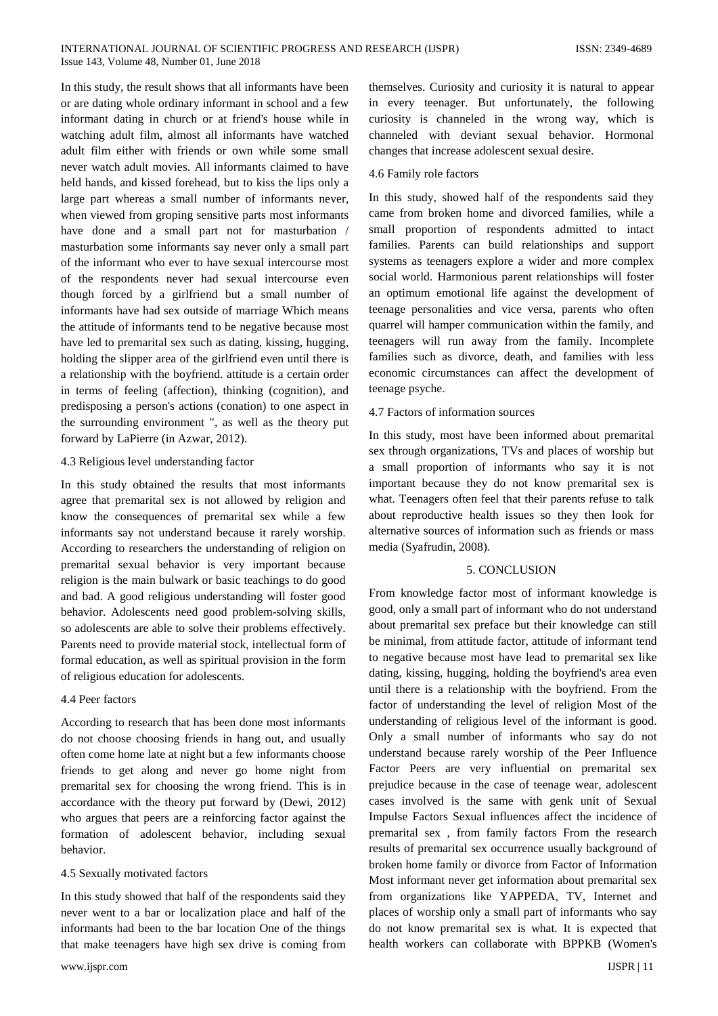In this study, the result shows that all informants have been or are dating whole ordinary informant in school and a few informant dating in church or at friend's house while in watching adult film, almost all informants have watched adult film either with friends or own while some small never watch adult movies. All informants claimed to have held hands, and kissed forehead, but to kiss the lips only a large part whereas a small number of informants never, when viewed from groping sensitive parts most informants have done and a small part not for masturbation / masturbation some informants say never only a small part of the informant who ever to have sexual intercourse most of the respondents never had sexual intercourse even though forced by a girlfriend but a small number of informants have had sex outside of marriage Which means the attitude of informants tend to be negative because most have led to premarital sex such as dating, kissing, hugging, holding the slipper area of the girlfriend even until there is a relationship with the boyfriend. attitude is a certain order in terms of feeling (affection), thinking (cognition), and predisposing a person's actions (conation) to one aspect in the surrounding environment ", as well as the theory put forward by LaPierre (in Azwar, 2012).

#### 4.3 Religious level understanding factor

In this study obtained the results that most informants agree that premarital sex is not allowed by religion and know the consequences of premarital sex while a few informants say not understand because it rarely worship. According to researchers the understanding of religion on premarital sexual behavior is very important because religion is the main bulwark or basic teachings to do good and bad. A good religious understanding will foster good behavior. Adolescents need good problem-solving skills, so adolescents are able to solve their problems effectively. Parents need to provide material stock, intellectual form of formal education, as well as spiritual provision in the form of religious education for adolescents.

### 4.4 Peer factors

According to research that has been done most informants do not choose choosing friends in hang out, and usually often come home late at night but a few informants choose friends to get along and never go home night from premarital sex for choosing the wrong friend. This is in accordance with the theory put forward by (Dewi, 2012) who argues that peers are a reinforcing factor against the formation of adolescent behavior, including sexual behavior.

#### 4.5 Sexually motivated factors

In this study showed that half of the respondents said they never went to a bar or localization place and half of the informants had been to the bar location One of the things that make teenagers have high sex drive is coming from

themselves. Curiosity and curiosity it is natural to appear in every teenager. But unfortunately, the following curiosity is channeled in the wrong way, which is channeled with deviant sexual behavior. Hormonal changes that increase adolescent sexual desire.

#### 4.6 Family role factors

In this study, showed half of the respondents said they came from broken home and divorced families, while a small proportion of respondents admitted to intact families. Parents can build relationships and support systems as teenagers explore a wider and more complex social world. Harmonious parent relationships will foster an optimum emotional life against the development of teenage personalities and vice versa, parents who often quarrel will hamper communication within the family, and teenagers will run away from the family. Incomplete families such as divorce, death, and families with less economic circumstances can affect the development of teenage psyche.

#### 4.7 Factors of information sources

In this study, most have been informed about premarital sex through organizations, TVs and places of worship but a small proportion of informants who say it is not important because they do not know premarital sex is what. Teenagers often feel that their parents refuse to talk about reproductive health issues so they then look for alternative sources of information such as friends or mass media (Syafrudin, 2008).

# 5. CONCLUSION

From knowledge factor most of informant knowledge is good, only a small part of informant who do not understand about premarital sex preface but their knowledge can still be minimal, from attitude factor, attitude of informant tend to negative because most have lead to premarital sex like dating, kissing, hugging, holding the boyfriend's area even until there is a relationship with the boyfriend. From the factor of understanding the level of religion Most of the understanding of religious level of the informant is good. Only a small number of informants who say do not understand because rarely worship of the Peer Influence Factor Peers are very influential on premarital sex prejudice because in the case of teenage wear, adolescent cases involved is the same with genk unit of Sexual Impulse Factors Sexual influences affect the incidence of premarital sex , from family factors From the research results of premarital sex occurrence usually background of broken home family or divorce from Factor of Information Most informant never get information about premarital sex from organizations like YAPPEDA, TV, Internet and places of worship only a small part of informants who say do not know premarital sex is what. It is expected that health workers can collaborate with BPPKB (Women's